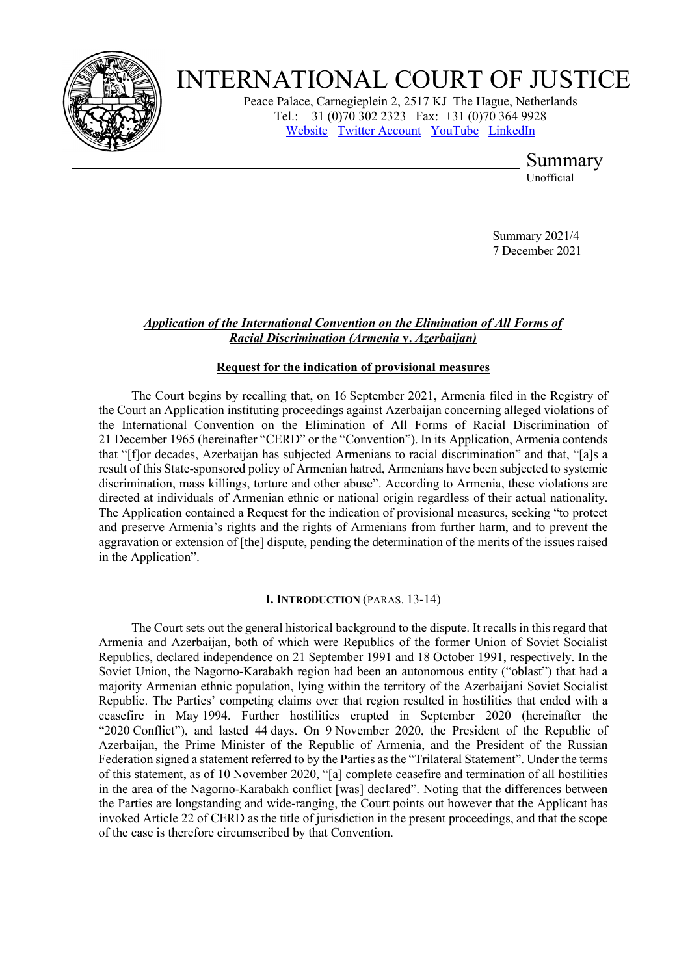

# INTERNATIONAL COURT OF JUSTICE

Peace Palace, Carnegieplein 2, 2517 KJ The Hague, Netherlands Tel.: +31 (0)70 302 2323 Fax: +31 (0)70 364 9928 [Website](http://www.icj-cij.org/) [Twitter Account](https://twitter.com/cij_icj) [YouTube](https://www.youtube.com/channel/UC28oiS6IwkVvWL7kLH1-QPg) [LinkedIn](https://www.linkedin.com/company/international-court-of-justice)

Summary

Unofficial

Summary 2021/4 7 December 2021

# *Application of the International Convention on the Elimination of All Forms of Racial Discrimination (Armenia* **v.** *Azerbaijan)*

# **Request for the indication of provisional measures**

The Court begins by recalling that, on 16 September 2021, Armenia filed in the Registry of the Court an Application instituting proceedings against Azerbaijan concerning alleged violations of the International Convention on the Elimination of All Forms of Racial Discrimination of 21 December 1965 (hereinafter "CERD" or the "Convention"). In its Application, Armenia contends that "[f]or decades, Azerbaijan has subjected Armenians to racial discrimination" and that, "[a]s a result of this State-sponsored policy of Armenian hatred, Armenians have been subjected to systemic discrimination, mass killings, torture and other abuse". According to Armenia, these violations are directed at individuals of Armenian ethnic or national origin regardless of their actual nationality. The Application contained a Request for the indication of provisional measures, seeking "to protect and preserve Armenia's rights and the rights of Armenians from further harm, and to prevent the aggravation or extension of [the] dispute, pending the determination of the merits of the issues raised in the Application".

# **I. INTRODUCTION** (PARAS. 13-14)

The Court sets out the general historical background to the dispute. It recalls in this regard that Armenia and Azerbaijan, both of which were Republics of the former Union of Soviet Socialist Republics, declared independence on 21 September 1991 and 18 October 1991, respectively. In the Soviet Union, the Nagorno-Karabakh region had been an autonomous entity ("oblast") that had a majority Armenian ethnic population, lying within the territory of the Azerbaijani Soviet Socialist Republic. The Parties' competing claims over that region resulted in hostilities that ended with a ceasefire in May 1994. Further hostilities erupted in September 2020 (hereinafter the "2020 Conflict"), and lasted 44 days. On 9 November 2020, the President of the Republic of Azerbaijan, the Prime Minister of the Republic of Armenia, and the President of the Russian Federation signed a statement referred to by the Parties as the "Trilateral Statement". Under the terms of this statement, as of 10 November 2020, "[a] complete ceasefire and termination of all hostilities in the area of the Nagorno-Karabakh conflict [was] declared". Noting that the differences between the Parties are longstanding and wide-ranging, the Court points out however that the Applicant has invoked Article 22 of CERD as the title of jurisdiction in the present proceedings, and that the scope of the case is therefore circumscribed by that Convention.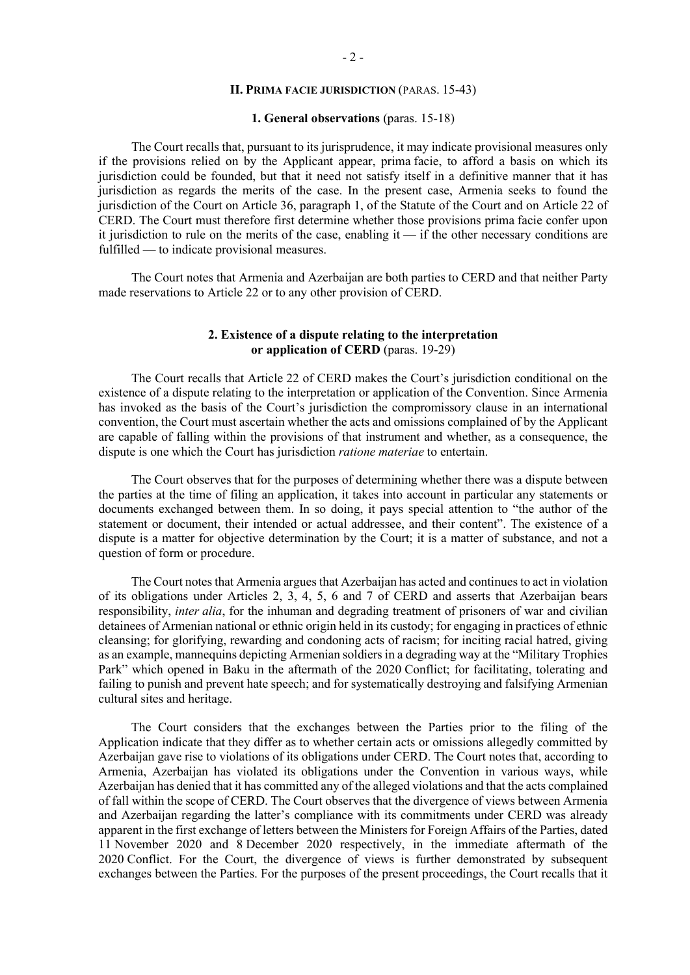# **II. PRIMA FACIE JURISDICTION** (PARAS. 15-43)

## **1. General observations** (paras. 15-18)

The Court recalls that, pursuant to its jurisprudence, it may indicate provisional measures only if the provisions relied on by the Applicant appear, prima facie, to afford a basis on which its jurisdiction could be founded, but that it need not satisfy itself in a definitive manner that it has jurisdiction as regards the merits of the case. In the present case, Armenia seeks to found the jurisdiction of the Court on Article 36, paragraph 1, of the Statute of the Court and on Article 22 of CERD. The Court must therefore first determine whether those provisions prima facie confer upon it jurisdiction to rule on the merits of the case, enabling it — if the other necessary conditions are fulfilled — to indicate provisional measures.

The Court notes that Armenia and Azerbaijan are both parties to CERD and that neither Party made reservations to Article 22 or to any other provision of CERD.

# **2. Existence of a dispute relating to the interpretation or application of CERD** (paras. 19-29)

The Court recalls that Article 22 of CERD makes the Court's jurisdiction conditional on the existence of a dispute relating to the interpretation or application of the Convention. Since Armenia has invoked as the basis of the Court's jurisdiction the compromissory clause in an international convention, the Court must ascertain whether the acts and omissions complained of by the Applicant are capable of falling within the provisions of that instrument and whether, as a consequence, the dispute is one which the Court has jurisdiction *ratione materiae* to entertain.

The Court observes that for the purposes of determining whether there was a dispute between the parties at the time of filing an application, it takes into account in particular any statements or documents exchanged between them. In so doing, it pays special attention to "the author of the statement or document, their intended or actual addressee, and their content". The existence of a dispute is a matter for objective determination by the Court; it is a matter of substance, and not a question of form or procedure.

The Court notes that Armenia argues that Azerbaijan has acted and continues to act in violation of its obligations under Articles 2, 3, 4, 5, 6 and 7 of CERD and asserts that Azerbaijan bears responsibility, *inter alia*, for the inhuman and degrading treatment of prisoners of war and civilian detainees of Armenian national or ethnic origin held in its custody; for engaging in practices of ethnic cleansing; for glorifying, rewarding and condoning acts of racism; for inciting racial hatred, giving as an example, mannequins depicting Armenian soldiers in a degrading way at the "Military Trophies Park" which opened in Baku in the aftermath of the 2020 Conflict; for facilitating, tolerating and failing to punish and prevent hate speech; and for systematically destroying and falsifying Armenian cultural sites and heritage.

The Court considers that the exchanges between the Parties prior to the filing of the Application indicate that they differ as to whether certain acts or omissions allegedly committed by Azerbaijan gave rise to violations of its obligations under CERD. The Court notes that, according to Armenia, Azerbaijan has violated its obligations under the Convention in various ways, while Azerbaijan has denied that it has committed any of the alleged violations and that the acts complained of fall within the scope of CERD. The Court observes that the divergence of views between Armenia and Azerbaijan regarding the latter's compliance with its commitments under CERD was already apparent in the first exchange of letters between the Ministers for Foreign Affairs of the Parties, dated 11 November 2020 and 8 December 2020 respectively, in the immediate aftermath of the 2020 Conflict. For the Court, the divergence of views is further demonstrated by subsequent exchanges between the Parties. For the purposes of the present proceedings, the Court recalls that it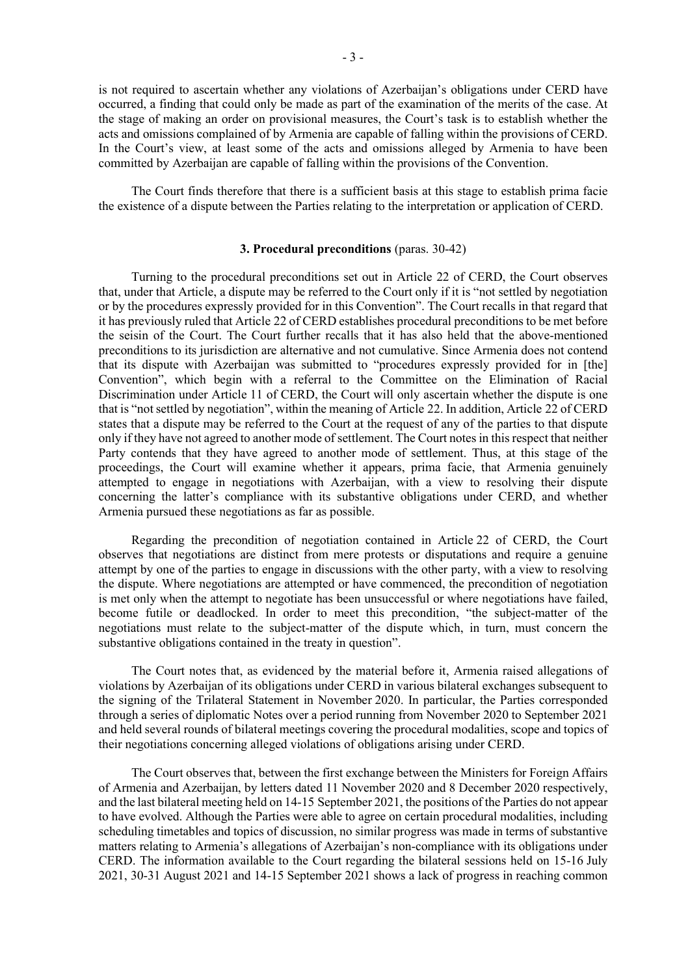is not required to ascertain whether any violations of Azerbaijan's obligations under CERD have occurred, a finding that could only be made as part of the examination of the merits of the case. At the stage of making an order on provisional measures, the Court's task is to establish whether the acts and omissions complained of by Armenia are capable of falling within the provisions of CERD. In the Court's view, at least some of the acts and omissions alleged by Armenia to have been committed by Azerbaijan are capable of falling within the provisions of the Convention.

The Court finds therefore that there is a sufficient basis at this stage to establish prima facie the existence of a dispute between the Parties relating to the interpretation or application of CERD.

## **3. Procedural preconditions** (paras. 30-42)

Turning to the procedural preconditions set out in Article 22 of CERD, the Court observes that, under that Article, a dispute may be referred to the Court only if it is "not settled by negotiation or by the procedures expressly provided for in this Convention". The Court recalls in that regard that it has previously ruled that Article 22 of CERD establishes procedural preconditions to be met before the seisin of the Court. The Court further recalls that it has also held that the above-mentioned preconditions to its jurisdiction are alternative and not cumulative. Since Armenia does not contend that its dispute with Azerbaijan was submitted to "procedures expressly provided for in [the] Convention", which begin with a referral to the Committee on the Elimination of Racial Discrimination under Article 11 of CERD, the Court will only ascertain whether the dispute is one that is "not settled by negotiation", within the meaning of Article 22. In addition, Article 22 of CERD states that a dispute may be referred to the Court at the request of any of the parties to that dispute only if they have not agreed to another mode of settlement. The Court notes in this respect that neither Party contends that they have agreed to another mode of settlement. Thus, at this stage of the proceedings, the Court will examine whether it appears, prima facie, that Armenia genuinely attempted to engage in negotiations with Azerbaijan, with a view to resolving their dispute concerning the latter's compliance with its substantive obligations under CERD, and whether Armenia pursued these negotiations as far as possible.

Regarding the precondition of negotiation contained in Article 22 of CERD, the Court observes that negotiations are distinct from mere protests or disputations and require a genuine attempt by one of the parties to engage in discussions with the other party, with a view to resolving the dispute. Where negotiations are attempted or have commenced, the precondition of negotiation is met only when the attempt to negotiate has been unsuccessful or where negotiations have failed, become futile or deadlocked. In order to meet this precondition, "the subject-matter of the negotiations must relate to the subject-matter of the dispute which, in turn, must concern the substantive obligations contained in the treaty in question".

The Court notes that, as evidenced by the material before it, Armenia raised allegations of violations by Azerbaijan of its obligations under CERD in various bilateral exchanges subsequent to the signing of the Trilateral Statement in November 2020. In particular, the Parties corresponded through a series of diplomatic Notes over a period running from November 2020 to September 2021 and held several rounds of bilateral meetings covering the procedural modalities, scope and topics of their negotiations concerning alleged violations of obligations arising under CERD.

The Court observes that, between the first exchange between the Ministers for Foreign Affairs of Armenia and Azerbaijan, by letters dated 11 November 2020 and 8 December 2020 respectively, and the last bilateral meeting held on 14-15 September 2021, the positions of the Parties do not appear to have evolved. Although the Parties were able to agree on certain procedural modalities, including scheduling timetables and topics of discussion, no similar progress was made in terms of substantive matters relating to Armenia's allegations of Azerbaijan's non-compliance with its obligations under CERD. The information available to the Court regarding the bilateral sessions held on 15-16 July 2021, 30-31 August 2021 and 14-15 September 2021 shows a lack of progress in reaching common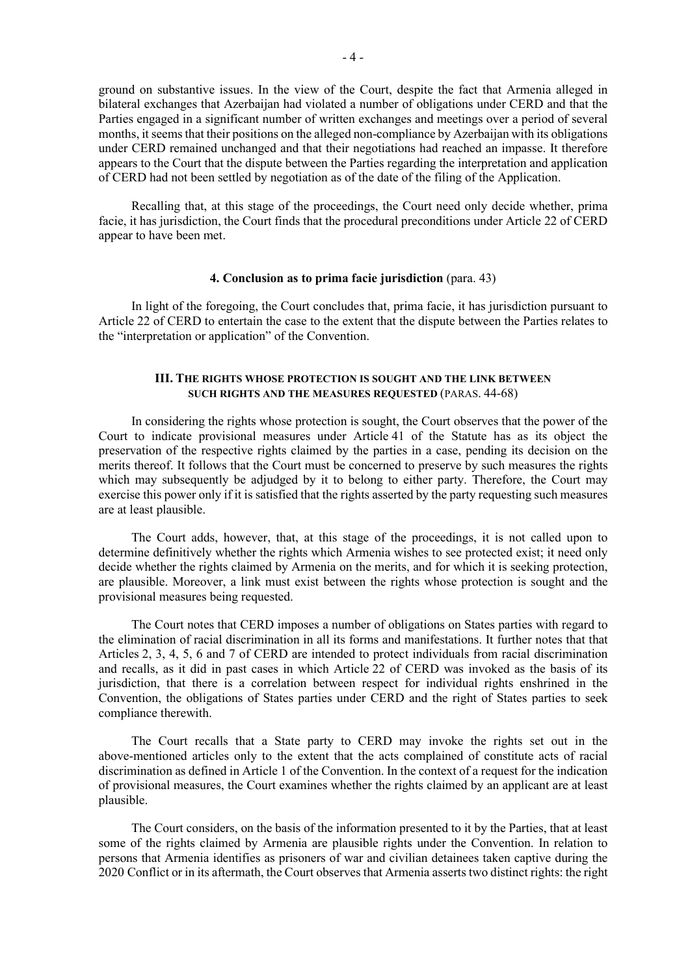ground on substantive issues. In the view of the Court, despite the fact that Armenia alleged in bilateral exchanges that Azerbaijan had violated a number of obligations under CERD and that the Parties engaged in a significant number of written exchanges and meetings over a period of several months, it seems that their positions on the alleged non-compliance by Azerbaijan with its obligations under CERD remained unchanged and that their negotiations had reached an impasse. It therefore appears to the Court that the dispute between the Parties regarding the interpretation and application of CERD had not been settled by negotiation as of the date of the filing of the Application.

Recalling that, at this stage of the proceedings, the Court need only decide whether, prima facie, it has jurisdiction, the Court finds that the procedural preconditions under Article 22 of CERD appear to have been met.

#### **4. Conclusion as to prima facie jurisdiction** (para. 43)

In light of the foregoing, the Court concludes that, prima facie, it has jurisdiction pursuant to Article 22 of CERD to entertain the case to the extent that the dispute between the Parties relates to the "interpretation or application" of the Convention.

# **III. THE RIGHTS WHOSE PROTECTION IS SOUGHT AND THE LINK BETWEEN SUCH RIGHTS AND THE MEASURES REQUESTED** (PARAS. 44-68)

In considering the rights whose protection is sought, the Court observes that the power of the Court to indicate provisional measures under Article 41 of the Statute has as its object the preservation of the respective rights claimed by the parties in a case, pending its decision on the merits thereof. It follows that the Court must be concerned to preserve by such measures the rights which may subsequently be adjudged by it to belong to either party. Therefore, the Court may exercise this power only if it is satisfied that the rights asserted by the party requesting such measures are at least plausible.

The Court adds, however, that, at this stage of the proceedings, it is not called upon to determine definitively whether the rights which Armenia wishes to see protected exist; it need only decide whether the rights claimed by Armenia on the merits, and for which it is seeking protection, are plausible. Moreover, a link must exist between the rights whose protection is sought and the provisional measures being requested.

The Court notes that CERD imposes a number of obligations on States parties with regard to the elimination of racial discrimination in all its forms and manifestations. It further notes that that Articles 2, 3, 4, 5, 6 and 7 of CERD are intended to protect individuals from racial discrimination and recalls, as it did in past cases in which Article 22 of CERD was invoked as the basis of its jurisdiction, that there is a correlation between respect for individual rights enshrined in the Convention, the obligations of States parties under CERD and the right of States parties to seek compliance therewith.

The Court recalls that a State party to CERD may invoke the rights set out in the above-mentioned articles only to the extent that the acts complained of constitute acts of racial discrimination as defined in Article 1 of the Convention. In the context of a request for the indication of provisional measures, the Court examines whether the rights claimed by an applicant are at least plausible.

The Court considers, on the basis of the information presented to it by the Parties, that at least some of the rights claimed by Armenia are plausible rights under the Convention. In relation to persons that Armenia identifies as prisoners of war and civilian detainees taken captive during the 2020 Conflict or in its aftermath, the Court observes that Armenia asserts two distinct rights: the right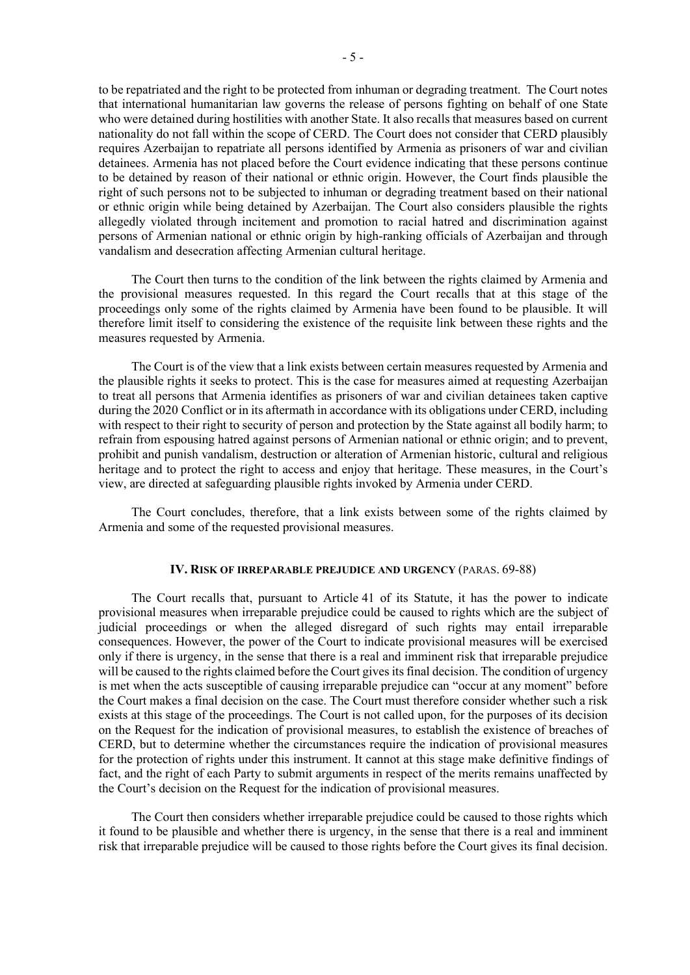to be repatriated and the right to be protected from inhuman or degrading treatment. The Court notes that international humanitarian law governs the release of persons fighting on behalf of one State who were detained during hostilities with another State. It also recalls that measures based on current nationality do not fall within the scope of CERD. The Court does not consider that CERD plausibly requires Azerbaijan to repatriate all persons identified by Armenia as prisoners of war and civilian detainees. Armenia has not placed before the Court evidence indicating that these persons continue to be detained by reason of their national or ethnic origin. However, the Court finds plausible the right of such persons not to be subjected to inhuman or degrading treatment based on their national or ethnic origin while being detained by Azerbaijan. The Court also considers plausible the rights allegedly violated through incitement and promotion to racial hatred and discrimination against persons of Armenian national or ethnic origin by high-ranking officials of Azerbaijan and through vandalism and desecration affecting Armenian cultural heritage.

The Court then turns to the condition of the link between the rights claimed by Armenia and the provisional measures requested. In this regard the Court recalls that at this stage of the proceedings only some of the rights claimed by Armenia have been found to be plausible. It will therefore limit itself to considering the existence of the requisite link between these rights and the measures requested by Armenia.

The Court is of the view that a link exists between certain measures requested by Armenia and the plausible rights it seeks to protect. This is the case for measures aimed at requesting Azerbaijan to treat all persons that Armenia identifies as prisoners of war and civilian detainees taken captive during the 2020 Conflict or in its aftermath in accordance with its obligations under CERD, including with respect to their right to security of person and protection by the State against all bodily harm; to refrain from espousing hatred against persons of Armenian national or ethnic origin; and to prevent, prohibit and punish vandalism, destruction or alteration of Armenian historic, cultural and religious heritage and to protect the right to access and enjoy that heritage. These measures, in the Court's view, are directed at safeguarding plausible rights invoked by Armenia under CERD.

The Court concludes, therefore, that a link exists between some of the rights claimed by Armenia and some of the requested provisional measures.

## **IV. RISK OF IRREPARABLE PREJUDICE AND URGENCY** (PARAS. 69-88)

The Court recalls that, pursuant to Article 41 of its Statute, it has the power to indicate provisional measures when irreparable prejudice could be caused to rights which are the subject of judicial proceedings or when the alleged disregard of such rights may entail irreparable consequences. However, the power of the Court to indicate provisional measures will be exercised only if there is urgency, in the sense that there is a real and imminent risk that irreparable prejudice will be caused to the rights claimed before the Court gives its final decision. The condition of urgency is met when the acts susceptible of causing irreparable prejudice can "occur at any moment" before the Court makes a final decision on the case. The Court must therefore consider whether such a risk exists at this stage of the proceedings. The Court is not called upon, for the purposes of its decision on the Request for the indication of provisional measures, to establish the existence of breaches of CERD, but to determine whether the circumstances require the indication of provisional measures for the protection of rights under this instrument. It cannot at this stage make definitive findings of fact, and the right of each Party to submit arguments in respect of the merits remains unaffected by the Court's decision on the Request for the indication of provisional measures.

The Court then considers whether irreparable prejudice could be caused to those rights which it found to be plausible and whether there is urgency, in the sense that there is a real and imminent risk that irreparable prejudice will be caused to those rights before the Court gives its final decision.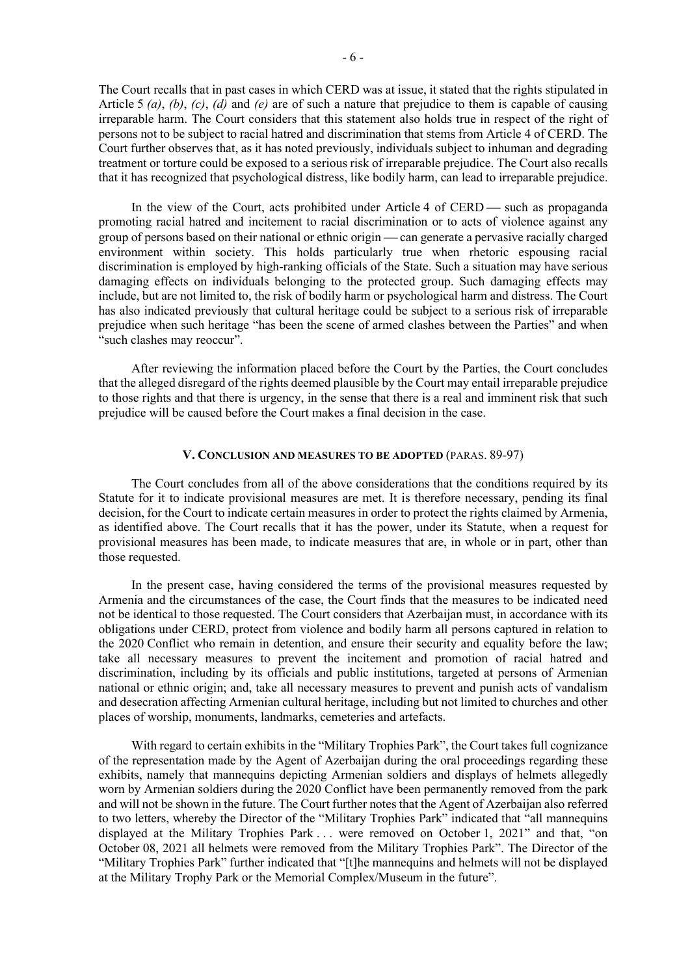The Court recalls that in past cases in which CERD was at issue, it stated that the rights stipulated in Article 5 *(a)*, *(b)*, *(c)*, *(d)* and *(e)* are of such a nature that prejudice to them is capable of causing irreparable harm. The Court considers that this statement also holds true in respect of the right of persons not to be subject to racial hatred and discrimination that stems from Article 4 of CERD. The Court further observes that, as it has noted previously, individuals subject to inhuman and degrading treatment or torture could be exposed to a serious risk of irreparable prejudice. The Court also recalls that it has recognized that psychological distress, like bodily harm, can lead to irreparable prejudice.

In the view of the Court, acts prohibited under Article  $4$  of CERD  $-$  such as propaganda promoting racial hatred and incitement to racial discrimination or to acts of violence against any group of persons based on their national or ethnic origin — can generate a pervasive racially charged environment within society. This holds particularly true when rhetoric espousing racial discrimination is employed by high-ranking officials of the State. Such a situation may have serious damaging effects on individuals belonging to the protected group. Such damaging effects may include, but are not limited to, the risk of bodily harm or psychological harm and distress. The Court has also indicated previously that cultural heritage could be subject to a serious risk of irreparable prejudice when such heritage "has been the scene of armed clashes between the Parties" and when "such clashes may reoccur".

After reviewing the information placed before the Court by the Parties, the Court concludes that the alleged disregard of the rights deemed plausible by the Court may entail irreparable prejudice to those rights and that there is urgency, in the sense that there is a real and imminent risk that such prejudice will be caused before the Court makes a final decision in the case.

## **V. CONCLUSION AND MEASURES TO BE ADOPTED** (PARAS. 89-97)

The Court concludes from all of the above considerations that the conditions required by its Statute for it to indicate provisional measures are met. It is therefore necessary, pending its final decision, for the Court to indicate certain measures in order to protect the rights claimed by Armenia, as identified above. The Court recalls that it has the power, under its Statute, when a request for provisional measures has been made, to indicate measures that are, in whole or in part, other than those requested.

In the present case, having considered the terms of the provisional measures requested by Armenia and the circumstances of the case, the Court finds that the measures to be indicated need not be identical to those requested. The Court considers that Azerbaijan must, in accordance with its obligations under CERD, protect from violence and bodily harm all persons captured in relation to the 2020 Conflict who remain in detention, and ensure their security and equality before the law; take all necessary measures to prevent the incitement and promotion of racial hatred and discrimination, including by its officials and public institutions, targeted at persons of Armenian national or ethnic origin; and, take all necessary measures to prevent and punish acts of vandalism and desecration affecting Armenian cultural heritage, including but not limited to churches and other places of worship, monuments, landmarks, cemeteries and artefacts.

With regard to certain exhibits in the "Military Trophies Park", the Court takes full cognizance of the representation made by the Agent of Azerbaijan during the oral proceedings regarding these exhibits, namely that mannequins depicting Armenian soldiers and displays of helmets allegedly worn by Armenian soldiers during the 2020 Conflict have been permanently removed from the park and will not be shown in the future. The Court further notes that the Agent of Azerbaijan also referred to two letters, whereby the Director of the "Military Trophies Park" indicated that "all mannequins displayed at the Military Trophies Park . . . were removed on October 1, 2021" and that, "on October 08, 2021 all helmets were removed from the Military Trophies Park". The Director of the "Military Trophies Park" further indicated that "[t]he mannequins and helmets will not be displayed at the Military Trophy Park or the Memorial Complex/Museum in the future".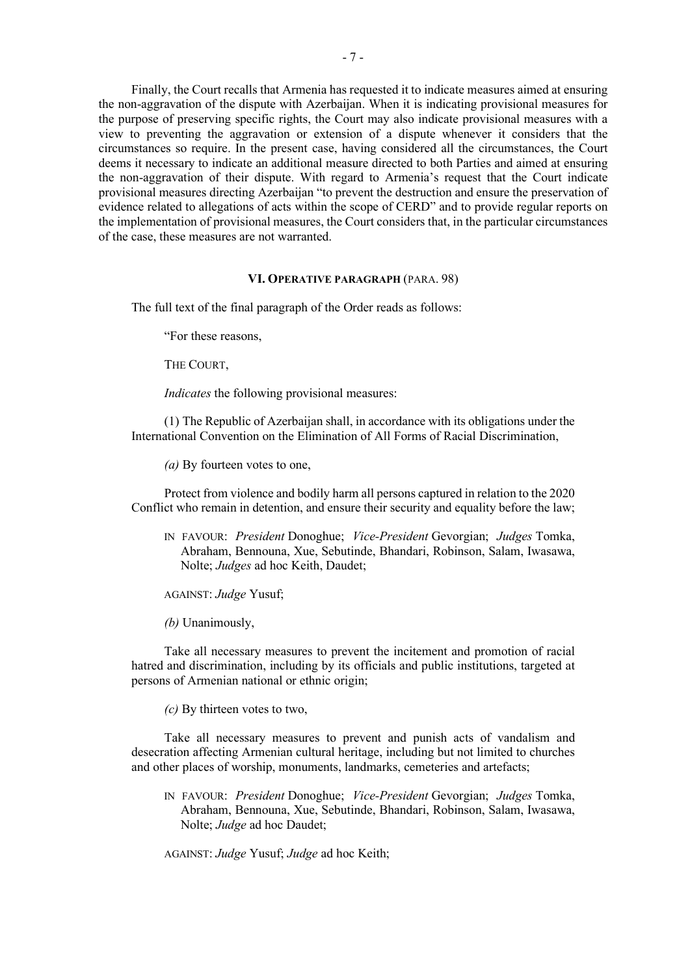Finally, the Court recalls that Armenia has requested it to indicate measures aimed at ensuring the non-aggravation of the dispute with Azerbaijan. When it is indicating provisional measures for the purpose of preserving specific rights, the Court may also indicate provisional measures with a view to preventing the aggravation or extension of a dispute whenever it considers that the circumstances so require. In the present case, having considered all the circumstances, the Court deems it necessary to indicate an additional measure directed to both Parties and aimed at ensuring the non-aggravation of their dispute. With regard to Armenia's request that the Court indicate provisional measures directing Azerbaijan "to prevent the destruction and ensure the preservation of evidence related to allegations of acts within the scope of CERD" and to provide regular reports on the implementation of provisional measures, the Court considers that, in the particular circumstances of the case, these measures are not warranted.

## **VI. OPERATIVE PARAGRAPH** (PARA. 98)

The full text of the final paragraph of the Order reads as follows:

"For these reasons,

THE COURT,

*Indicates* the following provisional measures:

(1) The Republic of Azerbaijan shall, in accordance with its obligations under the International Convention on the Elimination of All Forms of Racial Discrimination,

*(a)* By fourteen votes to one,

Protect from violence and bodily harm all persons captured in relation to the 2020 Conflict who remain in detention, and ensure their security and equality before the law;

- IN FAVOUR: *President* Donoghue; *Vice-President* Gevorgian; *Judges* Tomka, Abraham, Bennouna, Xue, Sebutinde, Bhandari, Robinson, Salam, Iwasawa, Nolte; *Judges* ad hoc Keith, Daudet;
- AGAINST: *Judge* Yusuf;
- *(b)* Unanimously,

Take all necessary measures to prevent the incitement and promotion of racial hatred and discrimination, including by its officials and public institutions, targeted at persons of Armenian national or ethnic origin;

*(c)* By thirteen votes to two,

Take all necessary measures to prevent and punish acts of vandalism and desecration affecting Armenian cultural heritage, including but not limited to churches and other places of worship, monuments, landmarks, cemeteries and artefacts;

IN FAVOUR: *President* Donoghue; *Vice-President* Gevorgian; *Judges* Tomka, Abraham, Bennouna, Xue, Sebutinde, Bhandari, Robinson, Salam, Iwasawa, Nolte; *Judge* ad hoc Daudet;

AGAINST: *Judge* Yusuf; *Judge* ad hoc Keith;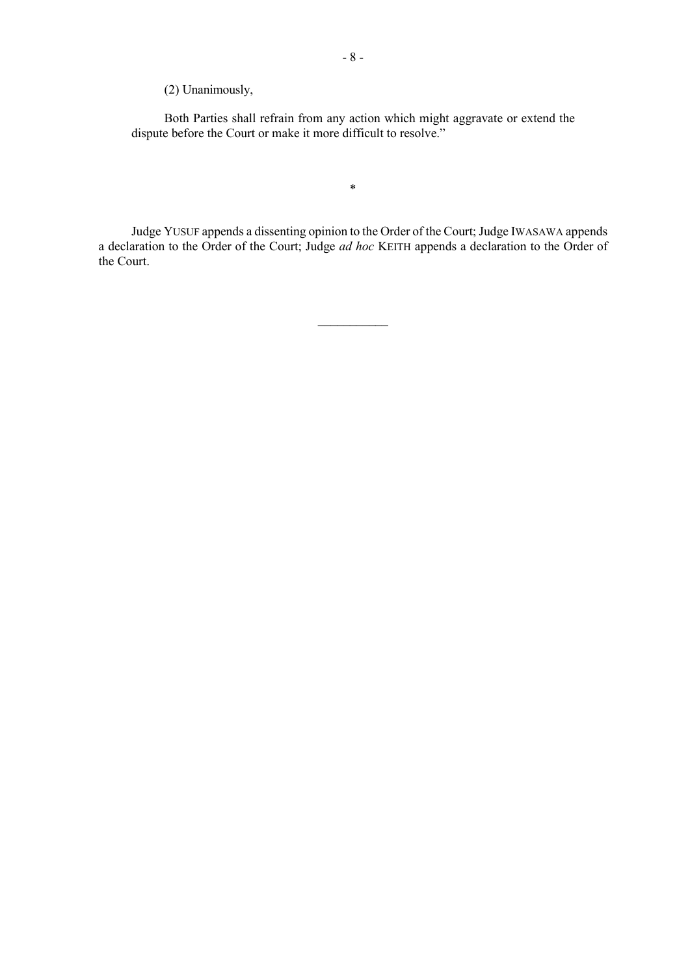(2) Unanimously,

Both Parties shall refrain from any action which might aggravate or extend the dispute before the Court or make it more difficult to resolve."

\*

Judge YUSUF appends a dissenting opinion to the Order of the Court; Judge IWASAWA appends a declaration to the Order of the Court; Judge *ad hoc* KEITH appends a declaration to the Order of the Court.

 $\overline{\phantom{a}}$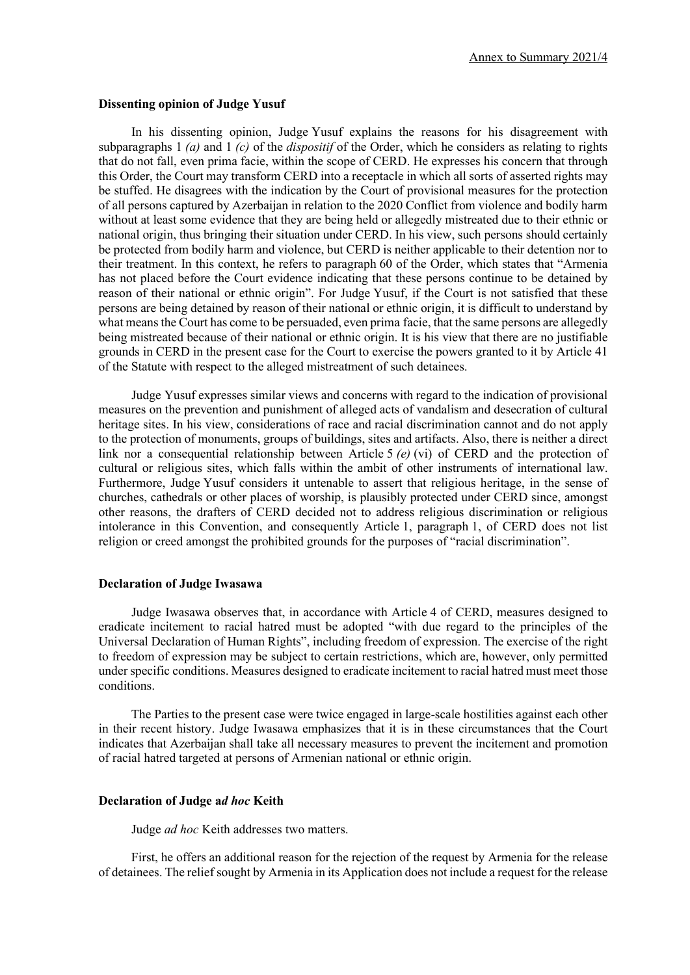#### **Dissenting opinion of Judge Yusuf**

In his dissenting opinion, Judge Yusuf explains the reasons for his disagreement with subparagraphs 1 *(a)* and 1 *(c)* of the *dispositif* of the Order, which he considers as relating to rights that do not fall, even prima facie, within the scope of CERD. He expresses his concern that through this Order, the Court may transform CERD into a receptacle in which all sorts of asserted rights may be stuffed. He disagrees with the indication by the Court of provisional measures for the protection of all persons captured by Azerbaijan in relation to the 2020 Conflict from violence and bodily harm without at least some evidence that they are being held or allegedly mistreated due to their ethnic or national origin, thus bringing their situation under CERD. In his view, such persons should certainly be protected from bodily harm and violence, but CERD is neither applicable to their detention nor to their treatment. In this context, he refers to paragraph 60 of the Order, which states that "Armenia has not placed before the Court evidence indicating that these persons continue to be detained by reason of their national or ethnic origin". For Judge Yusuf, if the Court is not satisfied that these persons are being detained by reason of their national or ethnic origin, it is difficult to understand by what means the Court has come to be persuaded, even prima facie, that the same persons are allegedly being mistreated because of their national or ethnic origin. It is his view that there are no justifiable grounds in CERD in the present case for the Court to exercise the powers granted to it by Article 41 of the Statute with respect to the alleged mistreatment of such detainees.

Judge Yusuf expresses similar views and concerns with regard to the indication of provisional measures on the prevention and punishment of alleged acts of vandalism and desecration of cultural heritage sites. In his view, considerations of race and racial discrimination cannot and do not apply to the protection of monuments, groups of buildings, sites and artifacts. Also, there is neither a direct link nor a consequential relationship between Article 5 *(e)* (vi) of CERD and the protection of cultural or religious sites, which falls within the ambit of other instruments of international law. Furthermore, Judge Yusuf considers it untenable to assert that religious heritage, in the sense of churches, cathedrals or other places of worship, is plausibly protected under CERD since, amongst other reasons, the drafters of CERD decided not to address religious discrimination or religious intolerance in this Convention, and consequently Article 1, paragraph 1, of CERD does not list religion or creed amongst the prohibited grounds for the purposes of "racial discrimination".

#### **Declaration of Judge Iwasawa**

Judge Iwasawa observes that, in accordance with Article 4 of CERD, measures designed to eradicate incitement to racial hatred must be adopted "with due regard to the principles of the Universal Declaration of Human Rights", including freedom of expression. The exercise of the right to freedom of expression may be subject to certain restrictions, which are, however, only permitted under specific conditions. Measures designed to eradicate incitement to racial hatred must meet those conditions.

The Parties to the present case were twice engaged in large-scale hostilities against each other in their recent history. Judge Iwasawa emphasizes that it is in these circumstances that the Court indicates that Azerbaijan shall take all necessary measures to prevent the incitement and promotion of racial hatred targeted at persons of Armenian national or ethnic origin.

## **Declaration of Judge a***d hoc* **Keith**

Judge *ad hoc* Keith addresses two matters.

First, he offers an additional reason for the rejection of the request by Armenia for the release of detainees. The relief sought by Armenia in its Application does not include a request for the release